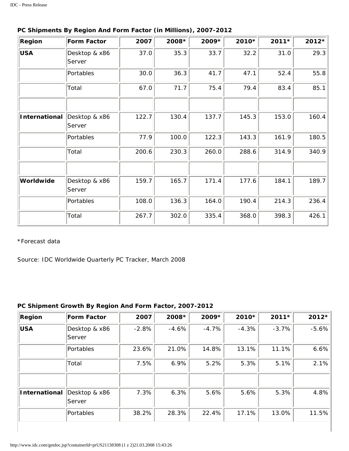| Region               | Form Factor             | 2007  | 2008* | 2009* | 2010* | 2011* | 2012* |
|----------------------|-------------------------|-------|-------|-------|-------|-------|-------|
| <b>USA</b>           | Desktop & x86<br>Server | 37.0  | 35.3  | 33.7  | 32.2  | 31.0  | 29.3  |
|                      | Portables               | 30.0  | 36.3  | 41.7  | 47.1  | 52.4  | 55.8  |
|                      | Total                   | 67.0  | 71.7  | 75.4  | 79.4  | 83.4  | 85.1  |
|                      |                         |       |       |       |       |       |       |
| <b>International</b> | Desktop & x86<br>Server | 122.7 | 130.4 | 137.7 | 145.3 | 153.0 | 160.4 |
|                      | Portables               | 77.9  | 100.0 | 122.3 | 143.3 | 161.9 | 180.5 |
|                      | Total                   | 200.6 | 230.3 | 260.0 | 288.6 | 314.9 | 340.9 |
|                      |                         |       |       |       |       |       |       |
| Worldwide            | Desktop & x86<br>Server | 159.7 | 165.7 | 171.4 | 177.6 | 184.1 | 189.7 |
|                      | Portables               | 108.0 | 136.3 | 164.0 | 190.4 | 214.3 | 236.4 |
|                      | Total                   | 267.7 | 302.0 | 335.4 | 368.0 | 398.3 | 426.1 |

## **PC Shipments By Region And Form Factor (in Millions), 2007-2012**

\*Forecast data

Source: IDC Worldwide Quarterly PC Tracker, March 2008

## **PC Shipment Growth By Region And Form Factor, 2007-2012**

| Region        | Form Factor              | 2007    | 2008*   | 2009*   | 2010*   | 2011*   | 2012*   |
|---------------|--------------------------|---------|---------|---------|---------|---------|---------|
| <b>USA</b>    | Desktop & x86<br> Server | $-2.8%$ | $-4.6%$ | $-4.7%$ | $-4.3%$ | $-3.7%$ | $-5.6%$ |
|               | Portables                | 23.6%   | 21.0%   | 14.8%   | 13.1%   | 11.1%   | 6.6%    |
|               | Total                    | 7.5%    | 6.9%    | 5.2%    | 5.3%    | 5.1%    | 2.1%    |
|               |                          |         |         |         |         |         |         |
| International | Desktop & x86<br> Server | 7.3%    | 6.3%    | 5.6%    | 5.6%    | 5.3%    | 4.8%    |
|               | Portables                | 38.2%   | 28.3%   | 22.4%   | 17.1%   | 13.0%   | 11.5%   |